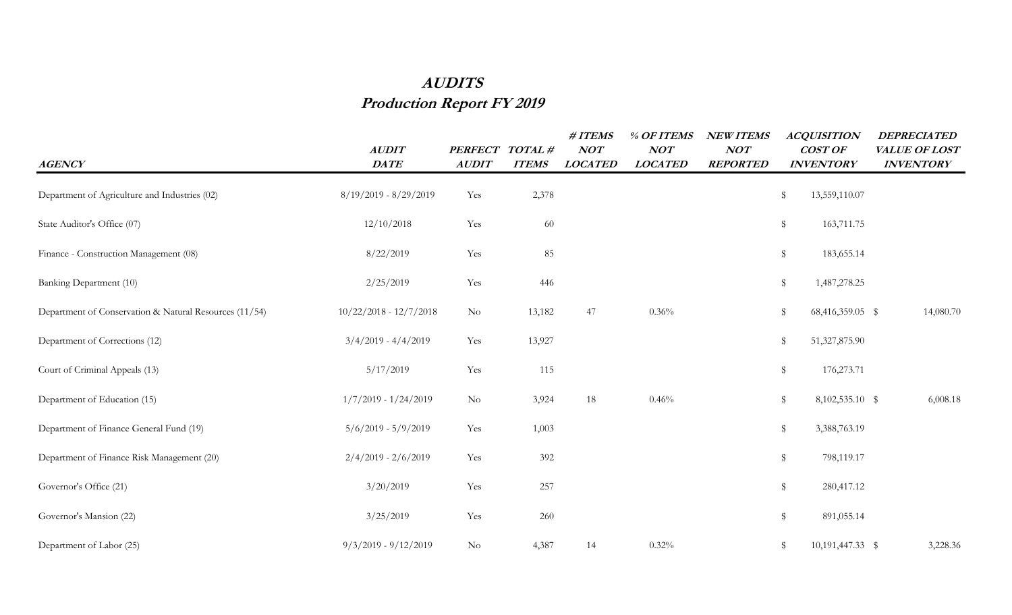## **AUDITS Production Report FY 2019**

| <b>AGENCY</b>                                          | <b>AUDIT</b><br>$\mathit{DATE}$ | PERFECT TOTAL#<br><b>AUDIT</b> | <b>ITEMS</b> | $\# ITEMS$<br>NOT<br><b>LOCATED</b> | % OF ITEMS<br><b>NOT</b><br><b>LOCATED</b> | <b>NEW ITEMS</b><br>NOT<br><b>REPORTED</b> | <b>ACQUISITION</b><br><b>COST OF</b><br><b>INVENTORY</b> | <b>DEPRECIATED</b><br>VALUE OF LOST<br><b>INVENTORY</b> |
|--------------------------------------------------------|---------------------------------|--------------------------------|--------------|-------------------------------------|--------------------------------------------|--------------------------------------------|----------------------------------------------------------|---------------------------------------------------------|
| Department of Agriculture and Industries (02)          | $8/19/2019 - 8/29/2019$         | Yes                            | 2,378        |                                     |                                            |                                            | \$<br>13,559,110.07                                      |                                                         |
| State Auditor's Office (07)                            | 12/10/2018                      | Yes                            | 60           |                                     |                                            |                                            | $\,$<br>163,711.75                                       |                                                         |
| Finance - Construction Management (08)                 | 8/22/2019                       | Yes                            | 85           |                                     |                                            |                                            | \$<br>183,655.14                                         |                                                         |
| Banking Department (10)                                | 2/25/2019                       | Yes                            | 446          |                                     |                                            |                                            | $\,$<br>1,487,278.25                                     |                                                         |
| Department of Conservation & Natural Resources (11/54) | $10/22/2018 - 12/7/2018$        | $\rm No$                       | 13,182       | 47                                  | 0.36%                                      |                                            | \$<br>68,416,359.05 \$                                   | 14,080.70                                               |
| Department of Corrections (12)                         | $3/4/2019 - 4/4/2019$           | Yes                            | 13,927       |                                     |                                            |                                            | \$<br>51,327,875.90                                      |                                                         |
| Court of Criminal Appeals (13)                         | 5/17/2019                       | Yes                            | 115          |                                     |                                            |                                            | \$<br>176,273.71                                         |                                                         |
| Department of Education (15)                           | $1/7/2019 - 1/24/2019$          | $\rm No$                       | 3,924        | 18                                  | 0.46%                                      |                                            | \$<br>8,102,535.10 \$                                    | 6,008.18                                                |
| Department of Finance General Fund (19)                | $5/6/2019 - 5/9/2019$           | Yes                            | 1,003        |                                     |                                            |                                            | \$<br>3,388,763.19                                       |                                                         |
| Department of Finance Risk Management (20)             | $2/4/2019 - 2/6/2019$           | Yes                            | 392          |                                     |                                            |                                            | $\,$<br>798,119.17                                       |                                                         |
| Governor's Office (21)                                 | 3/20/2019                       | Yes                            | 257          |                                     |                                            |                                            | \$<br>280,417.12                                         |                                                         |
| Governor's Mansion (22)                                | 3/25/2019                       | Yes                            | 260          |                                     |                                            |                                            | \$<br>891,055.14                                         |                                                         |
| Department of Labor (25)                               | $9/3/2019 - 9/12/2019$          | $\rm No$                       | 4,387        | 14                                  | 0.32%                                      |                                            | 10,191,447.33 \$<br>\$                                   | 3,228.36                                                |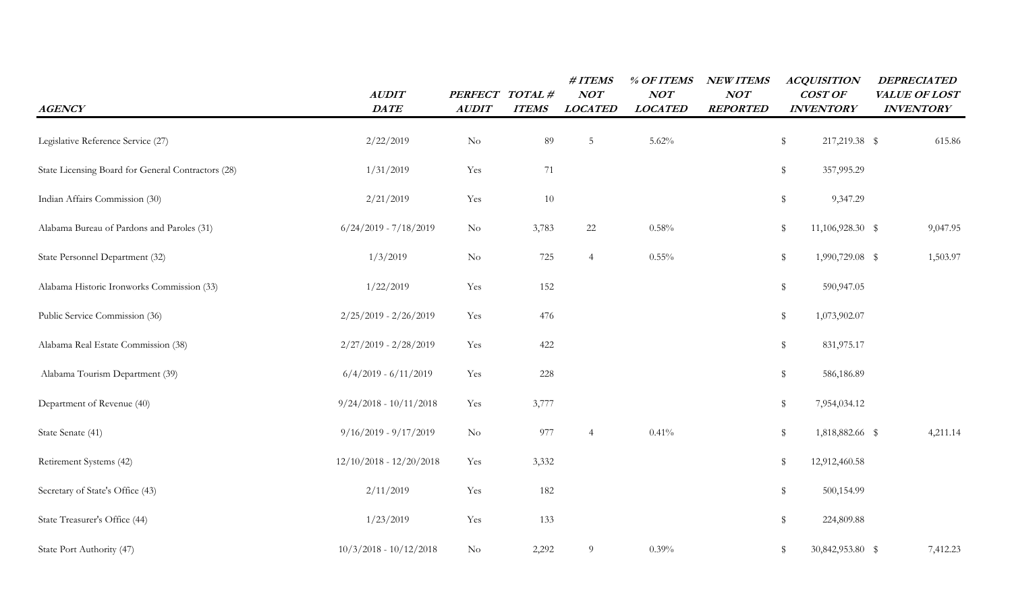| <b>AGENCY</b>                                      | AUDIT<br><b>DATE</b>      | PERFECT TOTAL #<br><b>AUDIT</b> | <b>ITEMS</b> | #ITEMS<br><b>NOT</b><br><b>LOCATED</b> | % OF ITEMS<br>NOT<br><b>LOCATED</b> | <b>NEW ITEMS</b><br><b>NOT</b><br><b>REPORTED</b> | <b>ACQUISITION</b><br>COST OF<br><b>INVENTORY</b> | <b>DEPRECIATED</b><br>VALUE OF LOST<br><b>INVENTORY</b> |
|----------------------------------------------------|---------------------------|---------------------------------|--------------|----------------------------------------|-------------------------------------|---------------------------------------------------|---------------------------------------------------|---------------------------------------------------------|
| Legislative Reference Service (27)                 | 2/22/2019                 | $\rm No$                        | 89           | $5\phantom{.0}$                        | 5.62%                               |                                                   | \$<br>217,219.38 \$                               | 615.86                                                  |
| State Licensing Board for General Contractors (28) | 1/31/2019                 | Yes                             | 71           |                                        |                                     |                                                   | \$<br>357,995.29                                  |                                                         |
| Indian Affairs Commission (30)                     | 2/21/2019                 | Yes                             | 10           |                                        |                                     |                                                   | \$<br>9,347.29                                    |                                                         |
| Alabama Bureau of Pardons and Paroles (31)         | $6/24/2019 - 7/18/2019$   | $\rm No$                        | 3,783        | 22                                     | 0.58%                               |                                                   | \$<br>11,106,928.30 \$                            | 9,047.95                                                |
| State Personnel Department (32)                    | 1/3/2019                  | $\rm No$                        | 725          | $\overline{4}$                         | $0.55\%$                            |                                                   | \$<br>1,990,729.08 \$                             | 1,503.97                                                |
| Alabama Historic Ironworks Commission (33)         | 1/22/2019                 | Yes                             | 152          |                                        |                                     |                                                   | $\,$<br>590,947.05                                |                                                         |
| Public Service Commission (36)                     | $2/25/2019 - 2/26/2019$   | Yes                             | 476          |                                        |                                     |                                                   | $\,$<br>1,073,902.07                              |                                                         |
| Alabama Real Estate Commission (38)                | $2/27/2019 - 2/28/2019$   | Yes                             | 422          |                                        |                                     |                                                   | \$<br>831,975.17                                  |                                                         |
| Alabama Tourism Department (39)                    | $6/4/2019 - 6/11/2019$    | Yes                             | 228          |                                        |                                     |                                                   | \$<br>586,186.89                                  |                                                         |
| Department of Revenue (40)                         | $9/24/2018 - 10/11/2018$  | Yes                             | 3,777        |                                        |                                     |                                                   | \$<br>7,954,034.12                                |                                                         |
| State Senate (41)                                  | $9/16/2019 - 9/17/2019$   | $\rm No$                        | 977          | $\overline{4}$                         | 0.41%                               |                                                   | $\,$<br>1,818,882.66 \$                           | 4,211.14                                                |
| Retirement Systems (42)                            | $12/10/2018 - 12/20/2018$ | Yes                             | 3,332        |                                        |                                     |                                                   | \$<br>12,912,460.58                               |                                                         |
| Secretary of State's Office (43)                   | 2/11/2019                 | Yes                             | 182          |                                        |                                     |                                                   | \$<br>500,154.99                                  |                                                         |
| State Treasurer's Office (44)                      | 1/23/2019                 | Yes                             | 133          |                                        |                                     |                                                   | 224,809.88<br>\$                                  |                                                         |
| State Port Authority (47)                          | $10/3/2018 - 10/12/2018$  | $\rm No$                        | 2,292        | 9                                      | 0.39%                               |                                                   | \$<br>30,842,953.80 \$                            | 7,412.23                                                |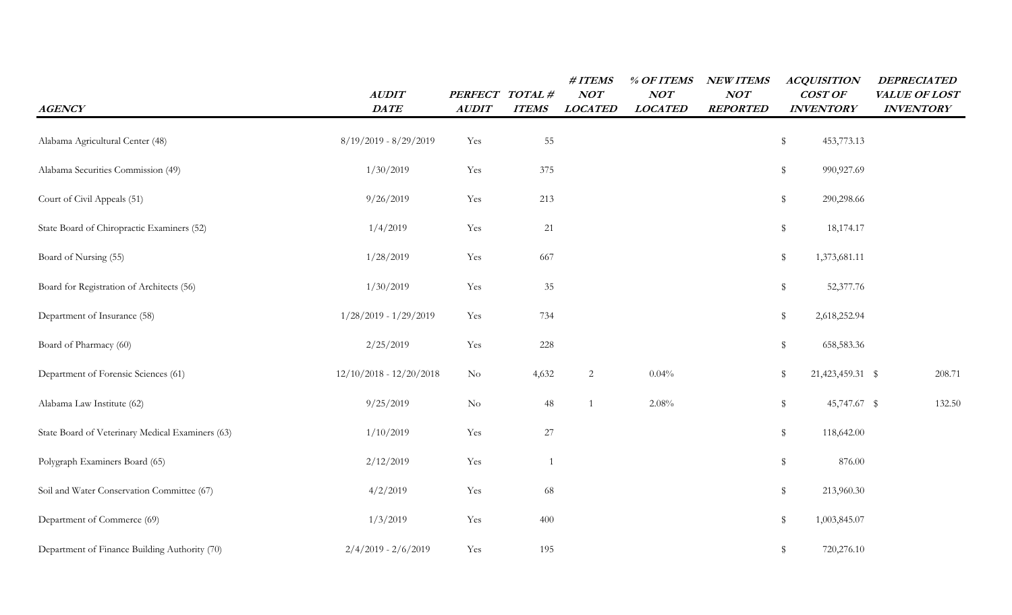| <b>AGENCY</b>                                    | AUDIT<br><b>DATE</b>      | PERFECT TOTAL #<br><b>AUDIT</b> | <b>ITEMS</b> | #ITEMS<br>NOT<br><b>LOCATED</b> | % OF ITEMS<br>NOT<br><b>LOCATED</b> | <b>NEW ITEMS</b><br><b>NOT</b><br><b>REPORTED</b> | <b>ACQUISITION</b><br>COST OF<br><b>INVENTORY</b> | <b>DEPRECIATED</b><br>VALUE OF LOST<br><b>INVENTORY</b> |
|--------------------------------------------------|---------------------------|---------------------------------|--------------|---------------------------------|-------------------------------------|---------------------------------------------------|---------------------------------------------------|---------------------------------------------------------|
| Alabama Agricultural Center (48)                 | $8/19/2019 - 8/29/2019$   | Yes                             | 55           |                                 |                                     |                                                   | \$<br>453,773.13                                  |                                                         |
| Alabama Securities Commission (49)               | 1/30/2019                 | Yes                             | 375          |                                 |                                     |                                                   | \$<br>990,927.69                                  |                                                         |
| Court of Civil Appeals (51)                      | 9/26/2019                 | Yes                             | 213          |                                 |                                     |                                                   | \$<br>290,298.66                                  |                                                         |
| State Board of Chiropractic Examiners (52)       | 1/4/2019                  | Yes                             | 21           |                                 |                                     |                                                   | \$<br>18,174.17                                   |                                                         |
| Board of Nursing (55)                            | 1/28/2019                 | Yes                             | 667          |                                 |                                     |                                                   | \$<br>1,373,681.11                                |                                                         |
| Board for Registration of Architects (56)        | 1/30/2019                 | Yes                             | $35\,$       |                                 |                                     |                                                   | \$<br>52,377.76                                   |                                                         |
| Department of Insurance (58)                     | $1/28/2019 - 1/29/2019$   | Yes                             | 734          |                                 |                                     |                                                   | \$<br>2,618,252.94                                |                                                         |
| Board of Pharmacy (60)                           | 2/25/2019                 | $\operatorname{Yes}$            | 228          |                                 |                                     |                                                   | \$<br>658,583.36                                  |                                                         |
| Department of Forensic Sciences (61)             | $12/10/2018 - 12/20/2018$ | $\rm No$                        | 4,632        | $\overline{c}$                  | 0.04%                               |                                                   | 21,423,459.31 \$<br>\$                            | 208.71                                                  |
| Alabama Law Institute (62)                       | 9/25/2019                 | $\rm No$                        | $\sqrt{48}$  | $\mathbf{1}$                    | 2.08%                               |                                                   | $\frac{1}{2}$<br>45,747.67 \$                     | 132.50                                                  |
| State Board of Veterinary Medical Examiners (63) | 1/10/2019                 | Yes                             | $27\,$       |                                 |                                     |                                                   | \$<br>118,642.00                                  |                                                         |
| Polygraph Examiners Board (65)                   | 2/12/2019                 | Yes                             | -1           |                                 |                                     |                                                   | \$<br>876.00                                      |                                                         |
| Soil and Water Conservation Committee (67)       | 4/2/2019                  | Yes                             | 68           |                                 |                                     |                                                   | \$<br>213,960.30                                  |                                                         |
| Department of Commerce (69)                      | 1/3/2019                  | Yes                             | 400          |                                 |                                     |                                                   | $\textcircled{\scriptsize{*}}$<br>1,003,845.07    |                                                         |
| Department of Finance Building Authority (70)    | $2/4/2019 - 2/6/2019$     | Yes                             | 195          |                                 |                                     |                                                   | $\frac{1}{2}$<br>720,276.10                       |                                                         |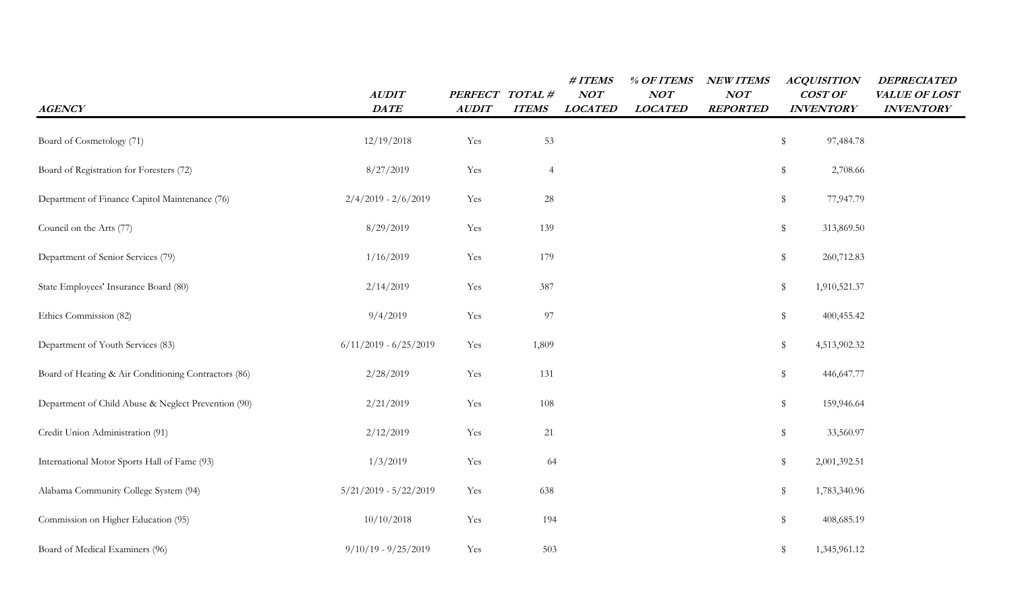| <b>AGENCY</b>                                        | <b>AUDIT</b><br><b>DATE</b> | <b>PERFECT</b><br><b>AUDIT</b> | TOTAL#<br><b>ITEMS</b> | # ITEMS<br>NOT<br><b>LOCATED</b> | % OF ITEMS<br>NOT<br><b>LOCATED</b> | <b>NEW ITEMS</b><br><b>NOT</b><br><b>REPORTED</b> | <b>ACQUISITION</b><br>COST OF<br><b>INVENTORY</b> | <b>DEPRECIATED</b><br>VALUE OF LOST<br><b>INVENTORY</b> |
|------------------------------------------------------|-----------------------------|--------------------------------|------------------------|----------------------------------|-------------------------------------|---------------------------------------------------|---------------------------------------------------|---------------------------------------------------------|
| Board of Cosmetology (71)                            | 12/19/2018                  | Yes                            | 53                     |                                  |                                     |                                                   | \$<br>97,484.78                                   |                                                         |
| Board of Registration for Foresters (72)             | 8/27/2019                   | Yes                            | $\overline{4}$         |                                  |                                     |                                                   | \$<br>2,708.66                                    |                                                         |
| Department of Finance Capitol Maintenance (76)       | $2/4/2019 - 2/6/2019$       | Yes                            | $28\,$                 |                                  |                                     |                                                   | \$<br>77,947.79                                   |                                                         |
| Council on the Arts (77)                             | 8/29/2019                   | Yes                            | 139                    |                                  |                                     |                                                   | \$<br>313,869.50                                  |                                                         |
| Department of Senior Services (79)                   | 1/16/2019                   | Yes                            | 179                    |                                  |                                     |                                                   | \$<br>260,712.83                                  |                                                         |
| State Employees' Insurance Board (80)                | 2/14/2019                   | Yes                            | 387                    |                                  |                                     |                                                   | \$<br>1,910,521.37                                |                                                         |
| Ethics Commission (82)                               | 9/4/2019                    | Yes                            | 97                     |                                  |                                     |                                                   | \$<br>400,455.42                                  |                                                         |
| Department of Youth Services (83)                    | $6/11/2019 - 6/25/2019$     | Yes                            | 1,809                  |                                  |                                     |                                                   | \$<br>4,513,902.32                                |                                                         |
| Board of Heating & Air Conditioning Contractors (86) | 2/28/2019                   | Yes                            | 131                    |                                  |                                     |                                                   | \$<br>446,647.77                                  |                                                         |
| Department of Child Abuse & Neglect Prevention (90)  | 2/21/2019                   | Yes                            | 108                    |                                  |                                     |                                                   | \$<br>159,946.64                                  |                                                         |
| Credit Union Administration (91)                     | 2/12/2019                   | Yes                            | 21                     |                                  |                                     |                                                   | \$<br>33,560.97                                   |                                                         |
| International Motor Sports Hall of Fame (93)         | 1/3/2019                    | Yes                            | 64                     |                                  |                                     |                                                   | \$<br>2,001,392.51                                |                                                         |
| Alabama Community College System (94)                | $5/21/2019 - 5/22/2019$     | Yes                            | 638                    |                                  |                                     |                                                   | \$<br>1,783,340.96                                |                                                         |
| Commission on Higher Education (95)                  | 10/10/2018                  | Yes                            | 194                    |                                  |                                     |                                                   | \$<br>408,685.19                                  |                                                         |
| Board of Medical Examiners (96)                      | $9/10/19 - 9/25/2019$       | Yes                            | 503                    |                                  |                                     |                                                   | \$<br>1,345,961.12                                |                                                         |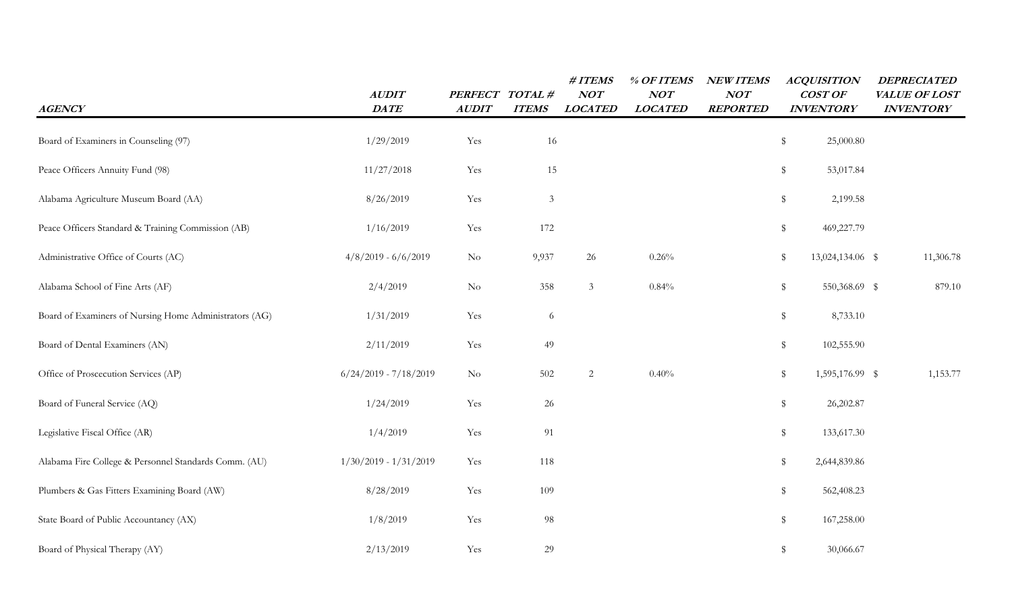| <b>AGENCY</b>                                          | <b>AUDIT</b><br><b>DATE</b> | PERFECT TOTAL #<br><b>AUDIT</b> | <b>ITEMS</b>                | #ITEMS<br><b>NOT</b><br><b>LOCATED</b> | % OF ITEMS<br>NOT<br><b>LOCATED</b> | <b>NEW ITEMS</b><br><b>NOT</b><br><b>REPORTED</b> | <b>ACQUISITION</b><br>COST OF<br><b>INVENTORY</b> | <b>DEPRECIATED</b><br>VALUE OF LOST<br><b>INVENTORY</b> |
|--------------------------------------------------------|-----------------------------|---------------------------------|-----------------------------|----------------------------------------|-------------------------------------|---------------------------------------------------|---------------------------------------------------|---------------------------------------------------------|
| Board of Examiners in Counseling (97)                  | 1/29/2019                   | Yes                             | 16                          |                                        |                                     |                                                   | \$<br>25,000.80                                   |                                                         |
| Peace Officers Annuity Fund (98)                       | 11/27/2018                  | Yes                             | 15                          |                                        |                                     |                                                   | $\,$<br>53,017.84                                 |                                                         |
| Alabama Agriculture Museum Board (AA)                  | 8/26/2019                   | Yes                             | $\ensuremath{\mathfrak{Z}}$ |                                        |                                     |                                                   | $\,$<br>2,199.58                                  |                                                         |
| Peace Officers Standard & Training Commission (AB)     | 1/16/2019                   | Yes                             | 172                         |                                        |                                     |                                                   | $\,$<br>469,227.79                                |                                                         |
| Administrative Office of Courts (AC)                   | $4/8/2019 - 6/6/2019$       | $\rm No$                        | 9,937                       | 26                                     | 0.26%                               |                                                   | \$<br>13,024,134.06 \$                            | 11,306.78                                               |
| Alabama School of Fine Arts (AF)                       | 2/4/2019                    | $\rm No$                        | 358                         | 3                                      | 0.84%                               |                                                   | $\,$<br>550,368.69 \$                             | 879.10                                                  |
| Board of Examiners of Nursing Home Administrators (AG) | 1/31/2019                   | Yes                             | 6                           |                                        |                                     |                                                   | $\,$<br>8,733.10                                  |                                                         |
| Board of Dental Examiners (AN)                         | 2/11/2019                   | Yes                             | 49                          |                                        |                                     |                                                   | \$<br>102,555.90                                  |                                                         |
| Office of Proscecution Services (AP)                   | $6/24/2019 - 7/18/2019$     | $\rm No$                        | 502                         | 2                                      | 0.40%                               |                                                   | \$<br>1,595,176.99 \$                             | 1,153.77                                                |
| Board of Funeral Service (AQ)                          | 1/24/2019                   | Yes                             | 26                          |                                        |                                     |                                                   | \$<br>26,202.87                                   |                                                         |
| Legislative Fiscal Office (AR)                         | 1/4/2019                    | Yes                             | 91                          |                                        |                                     |                                                   | \$<br>133,617.30                                  |                                                         |
| Alabama Fire College & Personnel Standards Comm. (AU)  | $1/30/2019 - 1/31/2019$     | Yes                             | 118                         |                                        |                                     |                                                   | \$<br>2,644,839.86                                |                                                         |
| Plumbers & Gas Fitters Examining Board (AW)            | 8/28/2019                   | Yes                             | 109                         |                                        |                                     |                                                   | \$<br>562,408.23                                  |                                                         |
| State Board of Public Accountancy (AX)                 | 1/8/2019                    | Yes                             | 98                          |                                        |                                     |                                                   | 167,258.00<br>\$                                  |                                                         |
| Board of Physical Therapy (AY)                         | 2/13/2019                   | Yes                             | 29                          |                                        |                                     |                                                   | \$<br>30,066.67                                   |                                                         |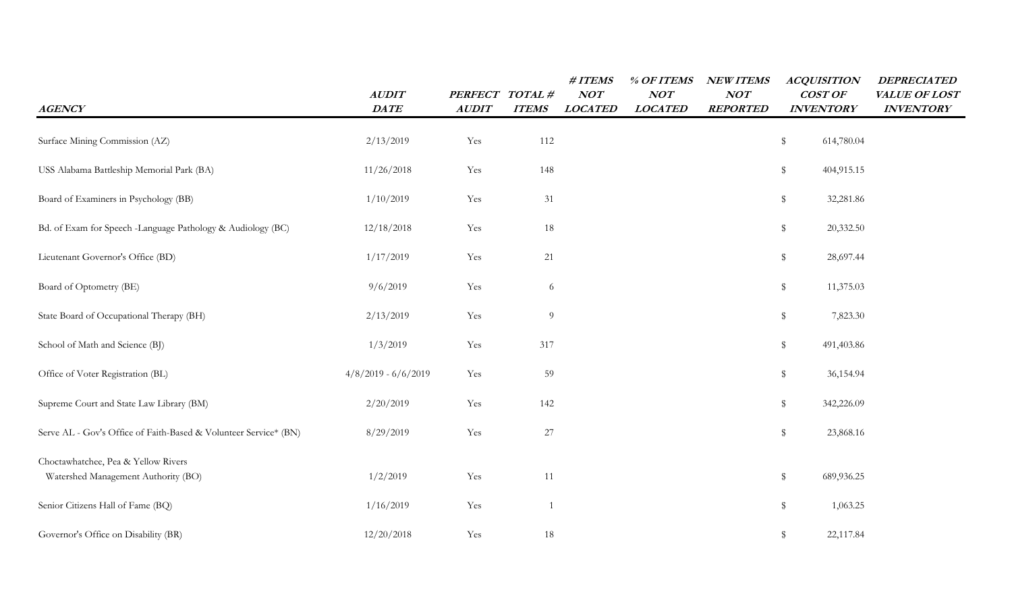| <b>AGENCY</b>                                                              | <b>AUDIT</b><br>$\mathit{DATE}$ | PERFECT TOTAL #<br><b>AUDIT</b> | <b>ITEMS</b>   | # ITEMS<br>NOT<br><b>LOCATED</b> | % OF ITEMS<br>NOT<br><b>LOCATED</b> | <b>NEW ITEMS</b><br><b>NOT</b><br><b>REPORTED</b> | <b>ACQUISITION</b><br>COST OF<br><b>INVENTORY</b> | <b>DEPRECIATED</b><br>VALUE OF LOST<br><b>INVENTORY</b> |
|----------------------------------------------------------------------------|---------------------------------|---------------------------------|----------------|----------------------------------|-------------------------------------|---------------------------------------------------|---------------------------------------------------|---------------------------------------------------------|
| Surface Mining Commission (AZ)                                             | 2/13/2019                       | Yes                             | 112            |                                  |                                     |                                                   | \$<br>614,780.04                                  |                                                         |
| USS Alabama Battleship Memorial Park (BA)                                  | 11/26/2018                      | Yes                             | 148            |                                  |                                     |                                                   | \$<br>404,915.15                                  |                                                         |
| Board of Examiners in Psychology (BB)                                      | 1/10/2019                       | Yes                             | 31             |                                  |                                     |                                                   | \$<br>32,281.86                                   |                                                         |
| Bd. of Exam for Speech -Language Pathology & Audiology (BC)                | 12/18/2018                      | Yes                             | 18             |                                  |                                     |                                                   | \$<br>20,332.50                                   |                                                         |
| Lieutenant Governor's Office (BD)                                          | 1/17/2019                       | Yes                             | 21             |                                  |                                     |                                                   | \$<br>28,697.44                                   |                                                         |
| Board of Optometry (BE)                                                    | 9/6/2019                        | Yes                             | 6              |                                  |                                     |                                                   | \$<br>11,375.03                                   |                                                         |
| State Board of Occupational Therapy (BH)                                   | 2/13/2019                       | Yes                             | 9              |                                  |                                     |                                                   | \$<br>7,823.30                                    |                                                         |
| School of Math and Science (BJ)                                            | 1/3/2019                        | Yes                             | 317            |                                  |                                     |                                                   | \$<br>491,403.86                                  |                                                         |
| Office of Voter Registration (BL)                                          | $4/8/2019 - 6/6/2019$           | Yes                             | 59             |                                  |                                     |                                                   | \$<br>36,154.94                                   |                                                         |
| Supreme Court and State Law Library (BM)                                   | 2/20/2019                       | Yes                             | 142            |                                  |                                     |                                                   | \$<br>342,226.09                                  |                                                         |
| Serve AL - Gov's Office of Faith-Based & Volunteer Service* (BN)           | 8/29/2019                       | Yes                             | 27             |                                  |                                     |                                                   | \$<br>23,868.16                                   |                                                         |
| Choctawhatchee, Pea & Yellow Rivers<br>Watershed Management Authority (BO) | 1/2/2019                        | Yes                             | 11             |                                  |                                     |                                                   | \$<br>689,936.25                                  |                                                         |
| Senior Citizens Hall of Fame (BQ)                                          | 1/16/2019                       | Yes                             | $\overline{1}$ |                                  |                                     |                                                   | \$<br>1,063.25                                    |                                                         |
| Governor's Office on Disability (BR)                                       | 12/20/2018                      | Yes                             | 18             |                                  |                                     |                                                   | 22,117.84<br>\$                                   |                                                         |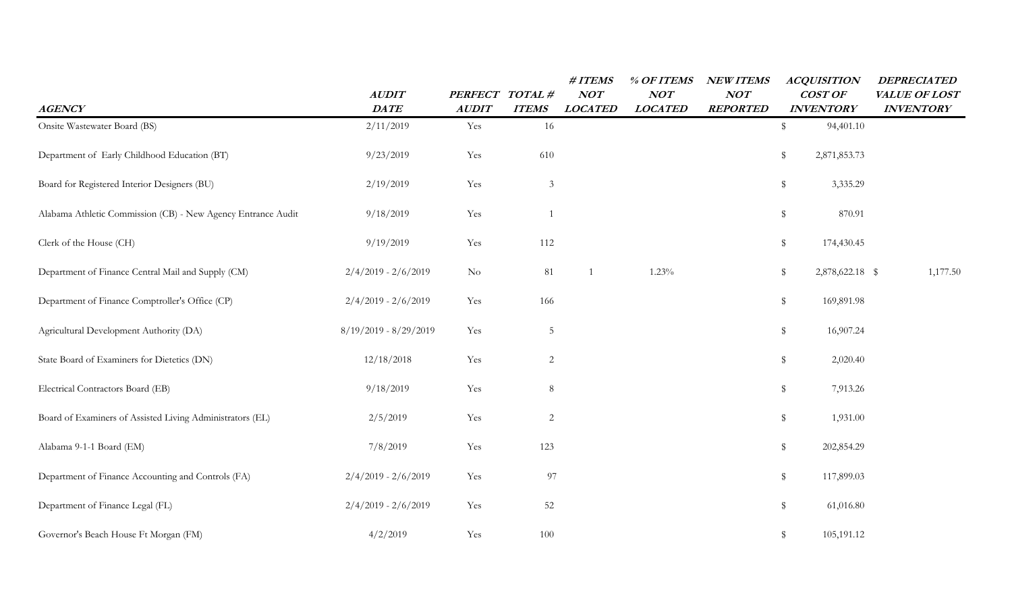| <b>AGENCY</b>                                                | <b>AUDIT</b><br>$\mathit{DATE}$ | <b>PERFECT</b><br><b>AUDIT</b> | TOTAL#<br><b>ITEMS</b> | # ITEMS<br>NOT<br><b>LOCATED</b> | % OF ITEMS<br>NOT<br><b>LOCATED</b> | <b>NEW ITEMS</b><br>NOT<br><b>REPORTED</b> | <b>ACQUISITION</b><br>COST OF<br><b>INVENTORY</b> | <b>DEPRECIATED</b><br>VALUE OF LOST<br><b>INVENTORY</b> |
|--------------------------------------------------------------|---------------------------------|--------------------------------|------------------------|----------------------------------|-------------------------------------|--------------------------------------------|---------------------------------------------------|---------------------------------------------------------|
| Onsite Wastewater Board (BS)                                 | 2/11/2019                       | Yes                            | 16                     |                                  |                                     |                                            | \$<br>94,401.10                                   |                                                         |
| Department of Early Childhood Education (BT)                 | 9/23/2019                       | Yes                            | 610                    |                                  |                                     |                                            | \$<br>2,871,853.73                                |                                                         |
| Board for Registered Interior Designers (BU)                 | 2/19/2019                       | Yes                            | $\mathfrak{Z}$         |                                  |                                     |                                            | \$<br>3,335.29                                    |                                                         |
| Alabama Athletic Commission (CB) - New Agency Entrance Audit | 9/18/2019                       | Yes                            |                        |                                  |                                     |                                            | \$<br>870.91                                      |                                                         |
| Clerk of the House (CH)                                      | 9/19/2019                       | Yes                            | 112                    |                                  |                                     |                                            | \$<br>174,430.45                                  |                                                         |
| Department of Finance Central Mail and Supply (CM)           | $2/4/2019 - 2/6/2019$           | $\rm No$                       | 81                     |                                  | 1.23%                               |                                            | 2,878,622.18 \$<br>\$                             | 1,177.50                                                |
| Department of Finance Comptroller's Office (CP)              | $2/4/2019 - 2/6/2019$           | Yes                            | 166                    |                                  |                                     |                                            | \$<br>169,891.98                                  |                                                         |
| Agricultural Development Authority (DA)                      | $8/19/2019 - 8/29/2019$         | Yes                            | $\overline{5}$         |                                  |                                     |                                            | \$<br>16,907.24                                   |                                                         |
| State Board of Examiners for Dietetics (DN)                  | 12/18/2018                      | Yes                            | $\overline{c}$         |                                  |                                     |                                            | \$<br>2,020.40                                    |                                                         |
| Electrical Contractors Board (EB)                            | 9/18/2019                       | Yes                            | 8                      |                                  |                                     |                                            | \$<br>7,913.26                                    |                                                         |
| Board of Examiners of Assisted Living Administrators (EL)    | 2/5/2019                        | Yes                            | 2                      |                                  |                                     |                                            | \$<br>1,931.00                                    |                                                         |
| Alabama 9-1-1 Board (EM)                                     | 7/8/2019                        | Yes                            | 123                    |                                  |                                     |                                            | \$<br>202,854.29                                  |                                                         |
| Department of Finance Accounting and Controls (FA)           | $2/4/2019 - 2/6/2019$           | Yes                            | 97                     |                                  |                                     |                                            | \$<br>117,899.03                                  |                                                         |
| Department of Finance Legal (FL)                             | $2/4/2019 - 2/6/2019$           | Yes                            | 52                     |                                  |                                     |                                            | \$<br>61,016.80                                   |                                                         |
| Governor's Beach House Ft Morgan (FM)                        | 4/2/2019                        | Yes                            | 100                    |                                  |                                     |                                            | \$<br>105,191.12                                  |                                                         |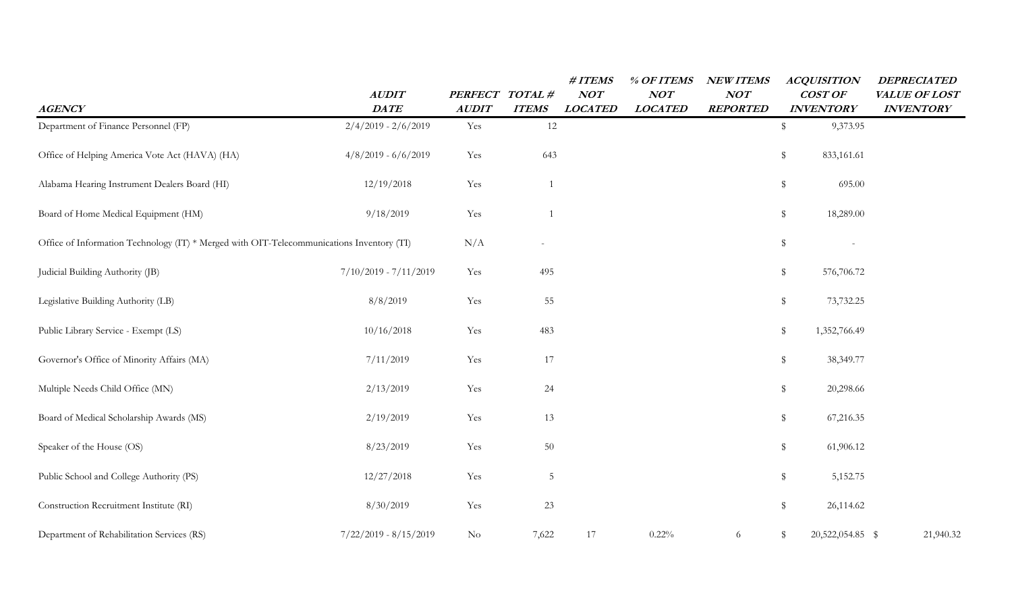| <b>AGENCY</b>                                                                             | <b>AUDIT</b><br><b>DATE</b> | PERFECT TOTAL #<br><b>AUDIT</b> | <b>ITEMS</b>             | $\#$ ITEMS<br>NOT<br><b>LOCATED</b> | % OF ITEMS<br>NOT<br><b>LOCATED</b> | <b>NEW ITEMS</b><br><b>NOT</b><br><b>REPORTED</b> | <b>ACQUISITION</b><br>COST OF<br><b>INVENTORY</b> | <b>DEPRECIATED</b><br>VALUE OF LOST<br><b>INVENTORY</b> |
|-------------------------------------------------------------------------------------------|-----------------------------|---------------------------------|--------------------------|-------------------------------------|-------------------------------------|---------------------------------------------------|---------------------------------------------------|---------------------------------------------------------|
| Department of Finance Personnel (FP)                                                      | $2/4/2019 - 2/6/2019$       | Yes                             | 12                       |                                     |                                     |                                                   | 9,373.95<br>\$                                    |                                                         |
| Office of Helping America Vote Act (HAVA) (HA)                                            | $4/8/2019 - 6/6/2019$       | Yes                             | 643                      |                                     |                                     |                                                   | \$<br>833,161.61                                  |                                                         |
| Alabama Hearing Instrument Dealers Board (HI)                                             | 12/19/2018                  | Yes                             |                          |                                     |                                     |                                                   | \$<br>695.00                                      |                                                         |
| Board of Home Medical Equipment (HM)                                                      | 9/18/2019                   | Yes                             |                          |                                     |                                     |                                                   | $\frac{1}{2}$<br>18,289.00                        |                                                         |
| Office of Information Technology (IT) * Merged with OIT-Telecommunications Inventory (IT) |                             | N/A                             | $\overline{\phantom{a}}$ |                                     |                                     |                                                   | \$                                                |                                                         |
| Judicial Building Authority (JB)                                                          | $7/10/2019 - 7/11/2019$     | Yes                             | 495                      |                                     |                                     |                                                   | \$<br>576,706.72                                  |                                                         |
| Legislative Building Authority (LB)                                                       | 8/8/2019                    | Yes                             | 55                       |                                     |                                     |                                                   | \$<br>73,732.25                                   |                                                         |
| Public Library Service - Exempt (LS)                                                      | 10/16/2018                  | Yes                             | 483                      |                                     |                                     |                                                   | \$<br>1,352,766.49                                |                                                         |
| Governor's Office of Minority Affairs (MA)                                                | 7/11/2019                   | Yes                             | $17\,$                   |                                     |                                     |                                                   | \$<br>38,349.77                                   |                                                         |
| Multiple Needs Child Office (MN)                                                          | 2/13/2019                   | Yes                             | 24                       |                                     |                                     |                                                   | \$<br>20,298.66                                   |                                                         |
| Board of Medical Scholarship Awards (MS)                                                  | 2/19/2019                   | Yes                             | 13                       |                                     |                                     |                                                   | \$<br>67,216.35                                   |                                                         |
| Speaker of the House (OS)                                                                 | 8/23/2019                   | Yes                             | 50                       |                                     |                                     |                                                   | \$<br>61,906.12                                   |                                                         |
| Public School and College Authority (PS)                                                  | 12/27/2018                  | Yes                             | $\sqrt{5}$               |                                     |                                     |                                                   | $\$\$<br>5,152.75                                 |                                                         |
| Construction Recruitment Institute (RI)                                                   | 8/30/2019                   | Yes                             | 23                       |                                     |                                     |                                                   | \$<br>26,114.62                                   |                                                         |
| Department of Rehabilitation Services (RS)                                                | $7/22/2019 - 8/15/2019$     | $\rm No$                        | 7,622                    | 17                                  | 0.22%                               | 6                                                 | 20,522,054.85 \$<br>\$                            | 21,940.32                                               |